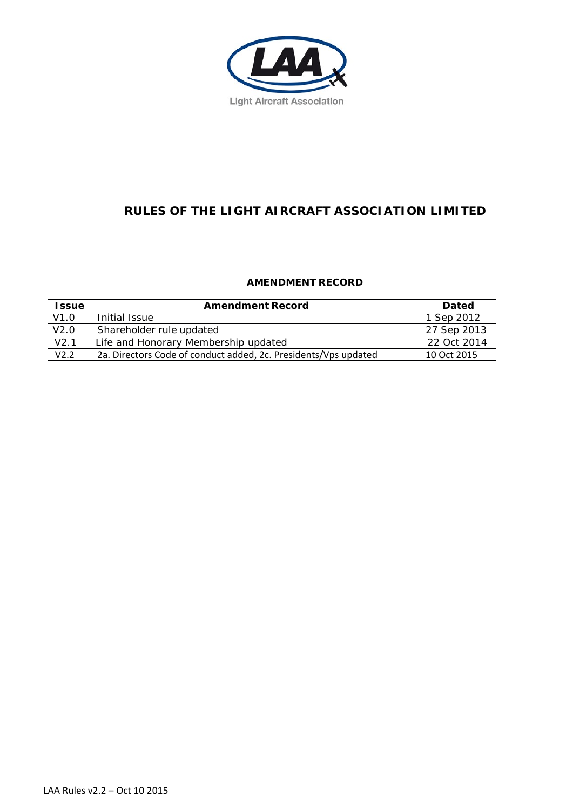

# **RULES OF THE LIGHT AIRCRAFT ASSOCIATION LIMITED**

## **AMENDMENT RECORD**

| <b>Issue</b> | <b>Amendment Record</b>                                         | <b>Dated</b> |
|--------------|-----------------------------------------------------------------|--------------|
| V1.0         | Initial Issue                                                   | 1 Sep 2012   |
| V2.0         | Shareholder rule updated                                        | 27 Sep 2013  |
| V2.1         | Life and Honorary Membership updated                            | 22 Oct 2014  |
| V2.2         | 2a. Directors Code of conduct added, 2c. Presidents/Vps updated | 10 Oct 2015  |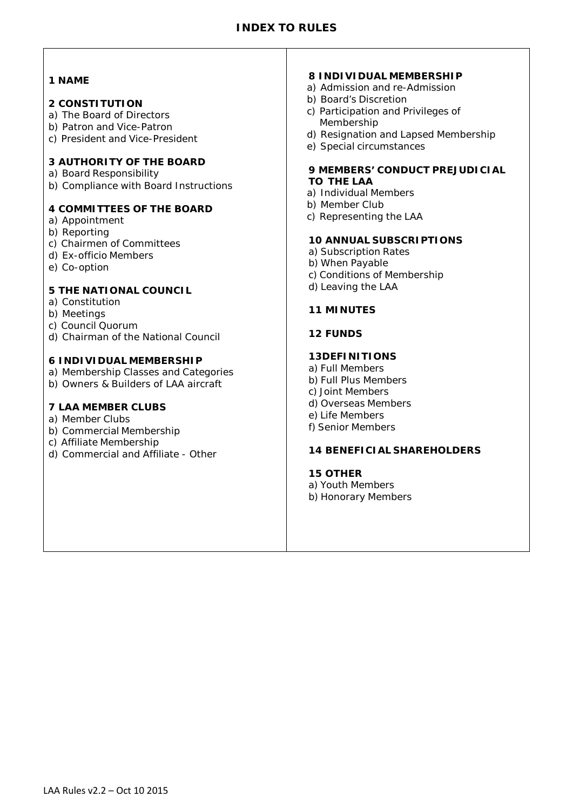## **INDEX TO RULES**

#### **1 NAME**

#### **2 CONSTITUTION**

- a) The Board of Directors
- b) Patron and Vice-Patron
- c) President and Vice-President

## **3 AUTHORITY OF THE BOARD**

- a) Board Responsibility
- b) Compliance with Board Instructions

#### **4 COMMITTEES OF THE BOARD**

- a) Appointment
- b) Reporting
- c) Chairmen of Committees
- d) Ex-officio Members
- e) Co-option

## **5 THE NATIONAL COUNCIL**

- a) Constitution
- b) Meetings
- c) Council Quorum
- d) Chairman of the National Council

#### **6 INDIVIDUAL MEMBERSHIP**

- a) Membership Classes and Categories
- b) Owners & Builders of LAA aircraft

### **7 LAA MEMBER CLUBS**

- a) Member Clubs
- b) Commercial Membership
- c) Affiliate Membership
- d) Commercial and Affiliate Other

#### **8 INDIVIDUAL MEMBERSHIP**

- a) Admission and re-Admission
- b) Board's Discretion
- c) Participation and Privileges of Membership
- d) Resignation and Lapsed Membership
- e) Special circumstances

#### **9 MEMBERS' CONDUCT PREJUDICIAL TO THE LAA**

- a) Individual Members
- b) Member Club
- c) Representing the LAA

#### **10 ANNUAL SUBSCRIPTIONS**

- a) Subscription Rates
- b) When Payable
- c) Conditions of Membership
- d) Leaving the LAA

#### **11 MINUTES**

#### **12 FUNDS**

#### **13DEFINITIONS**

a) Full Members b) Full Plus Members c) Joint Members d) Overseas Members e) Life Members f) Senior Members

#### **14 BENEFICIAL SHAREHOLDERS**

## **15 OTHER**

a) Youth Members b) Honorary Members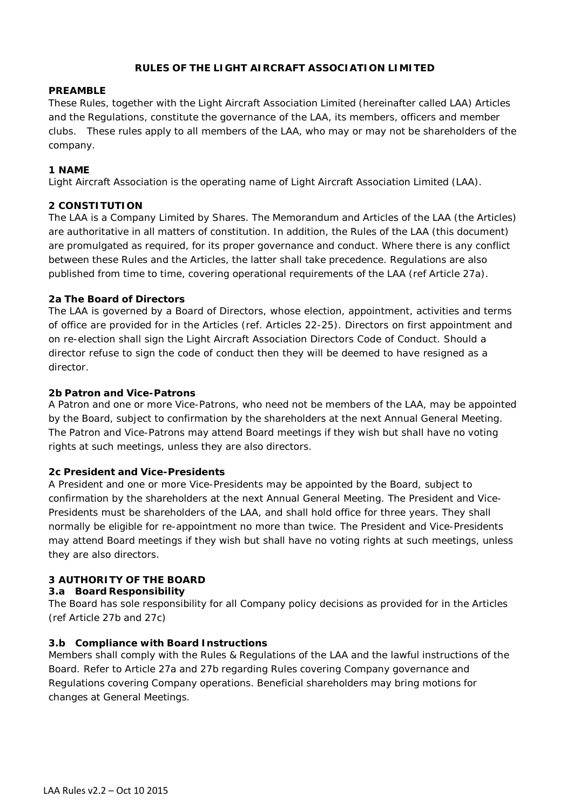## **RULES OF THE LIGHT AIRCRAFT ASSOCIATION LIMITED**

#### **PREAMBLE**

These Rules, together with the Light Aircraft Association Limited (hereinafter called LAA) Articles and the Regulations, constitute the governance of the LAA, its members, officers and member clubs. These rules apply to all members of the LAA, who may or may not be shareholders of the company.

#### **1 NAME**

Light Aircraft Association is the operating name of Light Aircraft Association Limited (LAA).

#### **2 CONSTITUTION**

The LAA is a Company Limited by Shares. The Memorandum and Articles of the LAA (the Articles) are authoritative in all matters of constitution. In addition, the Rules of the LAA (this document) are promulgated as required, for its proper governance and conduct. Where there is any conflict between these Rules and the Articles, the latter shall take precedence. Regulations are also published from time to time, covering operational requirements of the LAA (ref Article 27a).

#### **2a The Board of Directors**

The LAA is governed by a Board of Directors, whose election, appointment, activities and terms of office are provided for in the Articles (ref. Articles 22-25). Directors on first appointment and on re-election shall sign the Light Aircraft Association Directors Code of Conduct. Should a director refuse to sign the code of conduct then they will be deemed to have resigned as a director.

#### **2b Patron and Vice-Patrons**

A Patron and one or more Vice-Patrons, who need not be members of the LAA, may be appointed by the Board, subject to confirmation by the shareholders at the next Annual General Meeting. The Patron and Vice-Patrons may attend Board meetings if they wish but shall have no voting rights at such meetings, unless they are also directors.

#### **2c President and Vice-Presidents**

A President and one or more Vice-Presidents may be appointed by the Board, subject to confirmation by the shareholders at the next Annual General Meeting. The President and Vice-Presidents must be shareholders of the LAA, and shall hold office for three years. They shall normally be eligible for re-appointment no more than twice. The President and Vice-Presidents may attend Board meetings if they wish but shall have no voting rights at such meetings, unless they are also directors.

## **3 AUTHORITY OF THE BOARD**

#### **3.a Board Responsibility**

The Board has sole responsibility for all Company policy decisions as provided for in the Articles (ref Article 27b and 27c)

## **3.b Compliance with Board Instructions**

Members shall comply with the Rules & Regulations of the LAA and the lawful instructions of the Board. Refer to Article 27a and 27b regarding Rules covering Company governance and Regulations covering Company operations. Beneficial shareholders may bring motions for changes at General Meetings.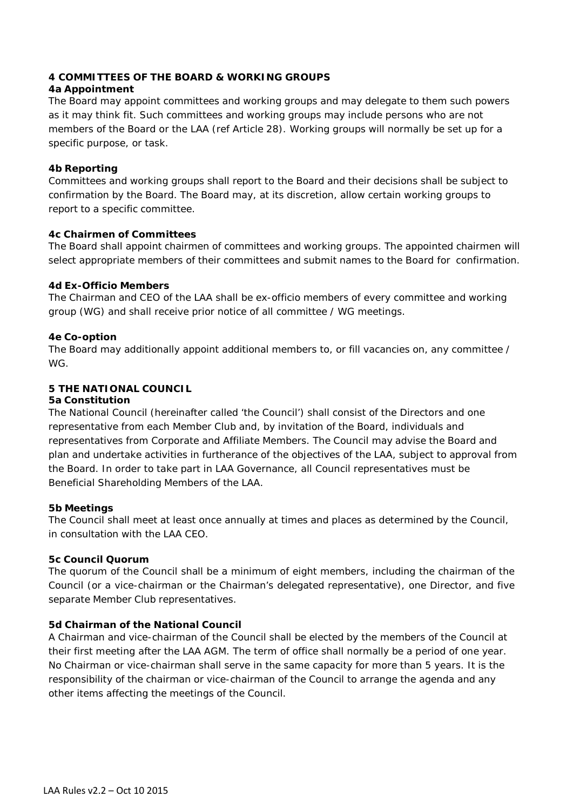## **4 COMMITTEES OF THE BOARD & WORKING GROUPS**

## **4a Appointment**

The Board may appoint committees and working groups and may delegate to them such powers as it may think fit. Such committees and working groups may include persons who are not members of the Board or the LAA (ref Article 28). Working groups will normally be set up for a specific purpose, or task.

## **4b Reporting**

Committees and working groups shall report to the Board and their decisions shall be subject to confirmation by the Board. The Board may, at its discretion, allow certain working groups to report to a specific committee.

## **4c Chairmen of Committees**

The Board shall appoint chairmen of committees and working groups. The appointed chairmen will select appropriate members of their committees and submit names to the Board for confirmation.

## **4d Ex-Officio Members**

The Chairman and CEO of the LAA shall be ex-officio members of every committee and working group (WG) and shall receive prior notice of all committee / WG meetings.

## **4e Co-option**

The Board may additionally appoint additional members to, or fill vacancies on, any committee / WG.

## **5 THE NATIONAL COUNCIL**

## **5a Constitution**

The National Council (hereinafter called 'the Council') shall consist of the Directors and one representative from each Member Club and, by invitation of the Board, individuals and representatives from Corporate and Affiliate Members. The Council may advise the Board and plan and undertake activities in furtherance of the objectives of the LAA, subject to approval from the Board. In order to take part in LAA Governance, all Council representatives must be Beneficial Shareholding Members of the LAA.

## **5b Meetings**

The Council shall meet at least once annually at times and places as determined by the Council, in consultation with the LAA CEO.

## **5c Council Quorum**

The quorum of the Council shall be a minimum of eight members, including the chairman of the Council (or a vice-chairman or the Chairman's delegated representative), one Director, and five separate Member Club representatives.

## **5d Chairman of the National Council**

A Chairman and vice-chairman of the Council shall be elected by the members of the Council at their first meeting after the LAA AGM. The term of office shall normally be a period of one year. No Chairman or vice-chairman shall serve in the same capacity for more than 5 years. It is the responsibility of the chairman or vice-chairman of the Council to arrange the agenda and any other items affecting the meetings of the Council.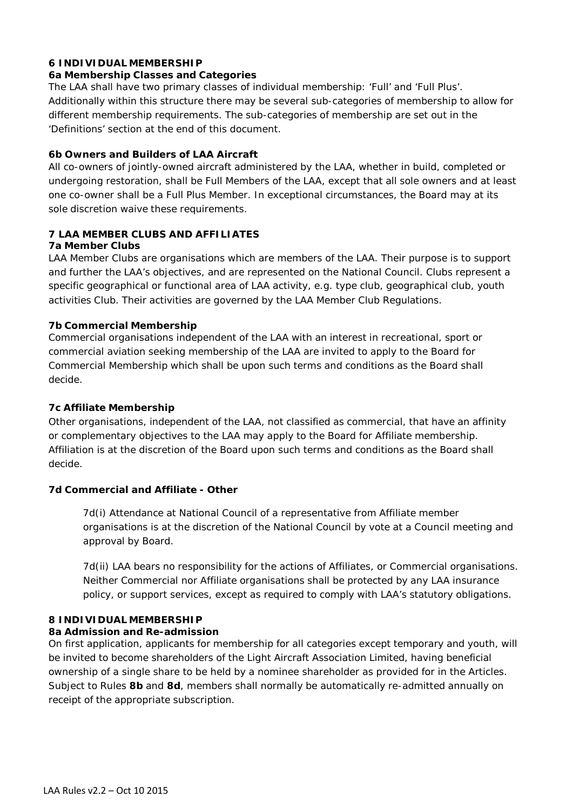## **6 INDIVIDUAL MEMBERSHIP**

#### **6a Membership Classes and Categories**

The LAA shall have two primary classes of individual membership: 'Full' and 'Full Plus'. Additionally within this structure there may be several sub-categories of membership to allow for different membership requirements. The sub-categories of membership are set out in the 'Definitions' section at the end of this document.

#### **6b Owners and Builders of LAA Aircraft**

All co-owners of jointly-owned aircraft administered by the LAA, whether in build, completed or undergoing restoration, shall be Full Members of the LAA, except that all sole owners and at least one co-owner shall be a Full Plus Member. In exceptional circumstances, the Board may at its sole discretion waive these requirements.

# **7 LAA MEMBER CLUBS AND AFFILIATES**

# **7a Member Clubs**

LAA Member Clubs are organisations which are members of the LAA. Their purpose is to support and further the LAA's objectives, and are represented on the National Council. Clubs represent a specific geographical or functional area of LAA activity, e.g. type club, geographical club, youth activities Club. Their activities are governed by the LAA Member Club Regulations.

## **7b Commercial Membership**

Commercial organisations independent of the LAA with an interest in recreational, sport or commercial aviation seeking membership of the LAA are invited to apply to the Board for Commercial Membership which shall be upon such terms and conditions as the Board shall decide.

## **7c Affiliate Membership**

Other organisations, independent of the LAA, not classified as commercial, that have an affinity or complementary objectives to the LAA may apply to the Board for Affiliate membership. Affiliation is at the discretion of the Board upon such terms and conditions as the Board shall decide.

## **7d Commercial and Affiliate - Other**

7d(i) Attendance at National Council of a representative from Affiliate member organisations is at the discretion of the National Council by vote at a Council meeting and approval by Board.

7d(ii) LAA bears no responsibility for the actions of Affiliates, or Commercial organisations. Neither Commercial nor Affiliate organisations shall be protected by any LAA insurance policy, or support services, except as required to comply with LAA's statutory obligations.

## **8 INDIVIDUAL MEMBERSHIP**

#### **8a Admission and Re-admission**

On first application, applicants for membership for all categories except temporary and youth, will be invited to become shareholders of the Light Aircraft Association Limited, having beneficial ownership of a single share to be held by a nominee shareholder as provided for in the Articles. Subject to Rules **8b** and **8d**, members shall normally be automatically re-admitted annually on receipt of the appropriate subscription.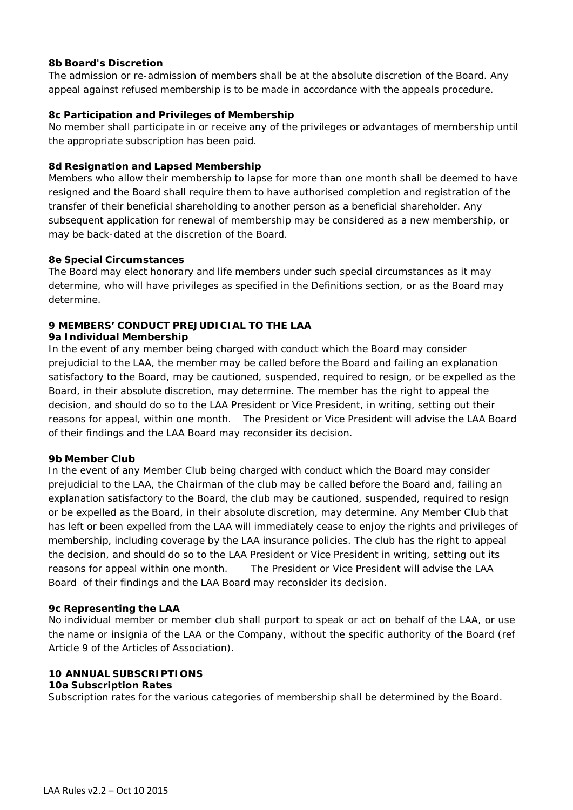#### **8b Board's Discretion**

The admission or re-admission of members shall be at the absolute discretion of the Board. Any appeal against refused membership is to be made in accordance with the appeals procedure.

#### **8c Participation and Privileges of Membership**

No member shall participate in or receive any of the privileges or advantages of membership until the appropriate subscription has been paid.

#### **8d Resignation and Lapsed Membership**

Members who allow their membership to lapse for more than one month shall be deemed to have resigned and the Board shall require them to have authorised completion and registration of the transfer of their beneficial shareholding to another person as a beneficial shareholder. Any subsequent application for renewal of membership may be considered as a new membership, or may be back-dated at the discretion of the Board.

#### **8e Special Circumstances**

The Board may elect honorary and life members under such special circumstances as it may determine, who will have privileges as specified in the Definitions section, or as the Board may determine.

## **9 MEMBERS' CONDUCT PREJUDICIAL TO THE LAA**

#### **9a Individual Membership**

In the event of any member being charged with conduct which the Board may consider prejudicial to the LAA, the member may be called before the Board and failing an explanation satisfactory to the Board, may be cautioned, suspended, required to resign, or be expelled as the Board, in their absolute discretion, may determine. The member has the right to appeal the decision, and should do so to the LAA President or Vice President, in writing, setting out their reasons for appeal, within one month. The President or Vice President will advise the LAA Board of their findings and the LAA Board may reconsider its decision.

#### **9b Member Club**

In the event of any Member Club being charged with conduct which the Board may consider prejudicial to the LAA, the Chairman of the club may be called before the Board and, failing an explanation satisfactory to the Board, the club may be cautioned, suspended, required to resign or be expelled as the Board, in their absolute discretion, may determine. Any Member Club that has left or been expelled from the LAA will immediately cease to enjoy the rights and privileges of membership, including coverage by the LAA insurance policies. The club has the right to appeal the decision, and should do so to the LAA President or Vice President in writing, setting out its reasons for appeal within one month. The President or Vice President will advise the LAA Board of their findings and the LAA Board may reconsider its decision.

#### **9c Representing the LAA**

No individual member or member club shall purport to speak or act on behalf of the LAA, or use the name or insignia of the LAA or the Company, without the specific authority of the Board (ref Article 9 of the Articles of Association).

## **10 ANNUAL SUBSCRIPTIONS**

#### **10a Subscription Rates**

Subscription rates for the various categories of membership shall be determined by the Board.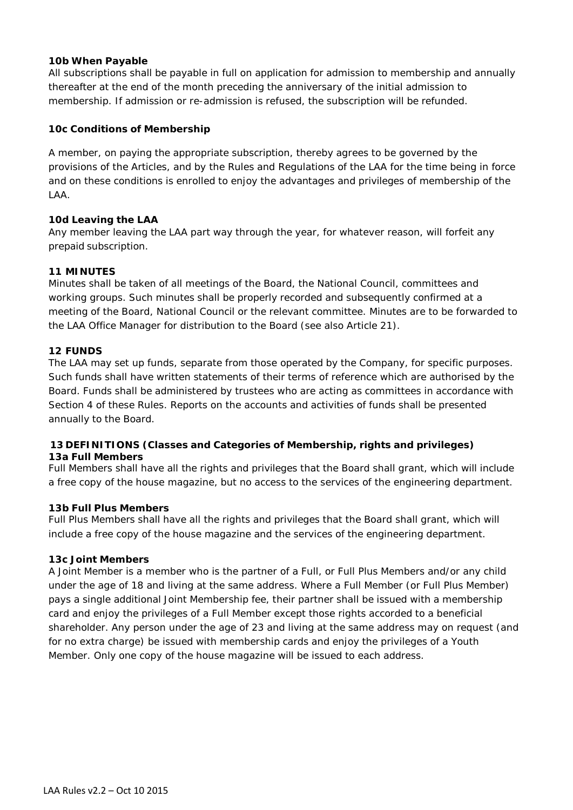#### **10b When Payable**

All subscriptions shall be payable in full on application for admission to membership and annually thereafter at the end of the month preceding the anniversary of the initial admission to membership. If admission or re-admission is refused, the subscription will be refunded.

### **10c Conditions of Membership**

A member, on paying the appropriate subscription, thereby agrees to be governed by the provisions of the Articles, and by the Rules and Regulations of the LAA for the time being in force and on these conditions is enrolled to enjoy the advantages and privileges of membership of the LAA.

#### **10d Leaving the LAA**

Any member leaving the LAA part way through the year, for whatever reason, will forfeit any prepaid subscription.

#### **11 MINUTES**

Minutes shall be taken of all meetings of the Board, the National Council, committees and working groups. Such minutes shall be properly recorded and subsequently confirmed at a meeting of the Board, National Council or the relevant committee. Minutes are to be forwarded to the LAA Office Manager for distribution to the Board (see also Article 21).

#### **12 FUNDS**

The LAA may set up funds, separate from those operated by the Company, for specific purposes. Such funds shall have written statements of their terms of reference which are authorised by the Board. Funds shall be administered by trustees who are acting as committees in accordance with Section 4 of these Rules. Reports on the accounts and activities of funds shall be presented annually to the Board.

#### **13 DEFINITIONS (Classes and Categories of Membership, rights and privileges) 13a Full Members**

Full Members shall have all the rights and privileges that the Board shall grant, which will include a free copy of the house magazine, but no access to the services of the engineering department.

#### **13b Full Plus Members**

Full Plus Members shall have all the rights and privileges that the Board shall grant, which will include a free copy of the house magazine and the services of the engineering department.

#### **13c Joint Members**

A Joint Member is a member who is the partner of a Full, or Full Plus Members and/or any child under the age of 18 and living at the same address. Where a Full Member (or Full Plus Member) pays a single additional Joint Membership fee, their partner shall be issued with a membership card and enjoy the privileges of a Full Member except those rights accorded to a beneficial shareholder. Any person under the age of 23 and living at the same address may on request (and for no extra charge) be issued with membership cards and enjoy the privileges of a Youth Member. Only one copy of the house magazine will be issued to each address.